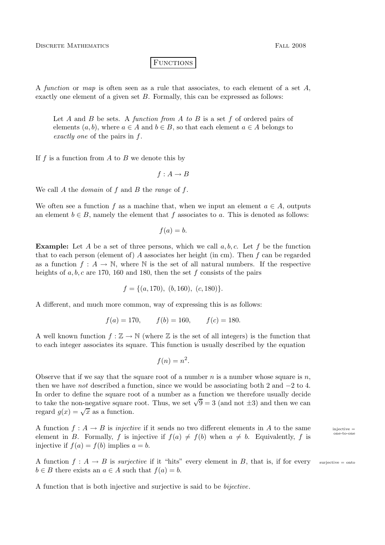**FUNCTIONS** 

A function or map is often seen as a rule that associates, to each element of a set  $A$ , exactly one element of a given set  $B$ . Formally, this can be expressed as follows:

Let A and B be sets. A function from A to B is a set f of ordered pairs of elements  $(a, b)$ , where  $a \in A$  and  $b \in B$ , so that each element  $a \in A$  belongs to exactly one of the pairs in f.

If f is a function from  $A$  to  $B$  we denote this by

 $f : A \rightarrow B$ 

We call  $A$  the *domain* of  $f$  and  $B$  the *range* of  $f$ .

We often see a function f as a machine that, when we input an element  $a \in A$ , outputs an element  $b \in B$ , namely the element that f associates to a. This is denoted as follows:

$$
f(a) = b.
$$

**Example:** Let A be a set of three persons, which we call  $a, b, c$ . Let f be the function that to each person (element of) A associates her height (in cm). Then  $f$  can be regarded as a function  $f: A \to \mathbb{N}$ , where  $\mathbb N$  is the set of all natural numbers. If the respective heights of  $a, b, c$  are 170, 160 and 180, then the set f consists of the pairs

$$
f = \{(a, 170), (b, 160), (c, 180)\}.
$$

A different, and much more common, way of expressing this is as follows:

$$
f(a) = 170,
$$
  $f(b) = 160,$   $f(c) = 180.$ 

A well known function  $f : \mathbb{Z} \to \mathbb{N}$  (where  $\mathbb Z$  is the set of all integers) is the function that to each integer associates its square. This function is usually described by the equation

$$
f(n) = n^2.
$$

Observe that if we say that the square root of a number n is a number whose square is  $n$ , then we have *not* described a function, since we would be associating both 2 and  $-2$  to 4. In order to define the square root of a number as a function we therefore usually decide to take the non-negative square root. Thus, we set  $\sqrt{9} = 3$  (and not  $\pm 3$ ) and then we can regard  $g(x) = \sqrt{x}$  as a function.

A function  $f : A \to B$  is *injective* if it sends no two different elements in A to the same injective = element in B. Formally, f is injective if  $f(a) \neq f(b)$  when  $a \neq b$ . Equivalently, f is injective if  $f(a) = f(b)$  implies  $a = b$ .

A function  $f: A \to B$  is surjective if it "hits" every element in B, that is, if for every surjective = onto  $b \in B$  there exists an  $a \in A$  such that  $f(a) = b$ .

A function that is both injective and surjective is said to be bijective.